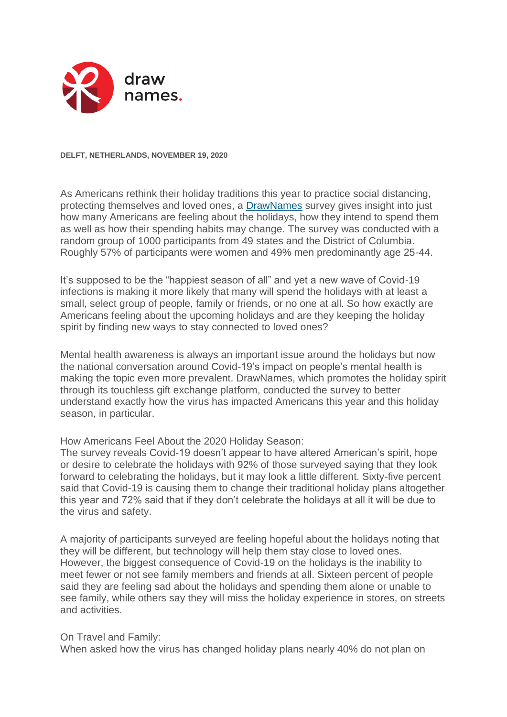

**DELFT, NETHERLANDS, NOVEMBER 19, 2020**

As Americans rethink their holiday traditions this year to practice social distancing, protecting themselves and loved ones, a [DrawNames](https://www.drawnames.com/) survey gives insight into just how many Americans are feeling about the holidays, how they intend to spend them as well as how their spending habits may change. The survey was conducted with a random group of 1000 participants from 49 states and the District of Columbia. Roughly 57% of participants were women and 49% men predominantly age 25-44.

It's supposed to be the "happiest season of all" and yet a new wave of Covid-19 infections is making it more likely that many will spend the holidays with at least a small, select group of people, family or friends, or no one at all. So how exactly are Americans feeling about the upcoming holidays and are they keeping the holiday spirit by finding new ways to stay connected to loved ones?

Mental health awareness is always an important issue around the holidays but now the national conversation around Covid-19's impact on people's mental health is making the topic even more prevalent. DrawNames, which promotes the holiday spirit through its touchless gift exchange platform, conducted the survey to better understand exactly how the virus has impacted Americans this year and this holiday season, in particular.

How Americans Feel About the 2020 Holiday Season:

The survey reveals Covid-19 doesn't appear to have altered American's spirit, hope or desire to celebrate the holidays with 92% of those surveyed saying that they look forward to celebrating the holidays, but it may look a little different. Sixty-five percent said that Covid-19 is causing them to change their traditional holiday plans altogether this year and 72% said that if they don't celebrate the holidays at all it will be due to the virus and safety.

A majority of participants surveyed are feeling hopeful about the holidays noting that they will be different, but technology will help them stay close to loved ones. However, the biggest consequence of Covid-19 on the holidays is the inability to meet fewer or not see family members and friends at all. Sixteen percent of people said they are feeling sad about the holidays and spending them alone or unable to see family, while others say they will miss the holiday experience in stores, on streets and activities.

## On Travel and Family:

When asked how the virus has changed holiday plans nearly 40% do not plan on